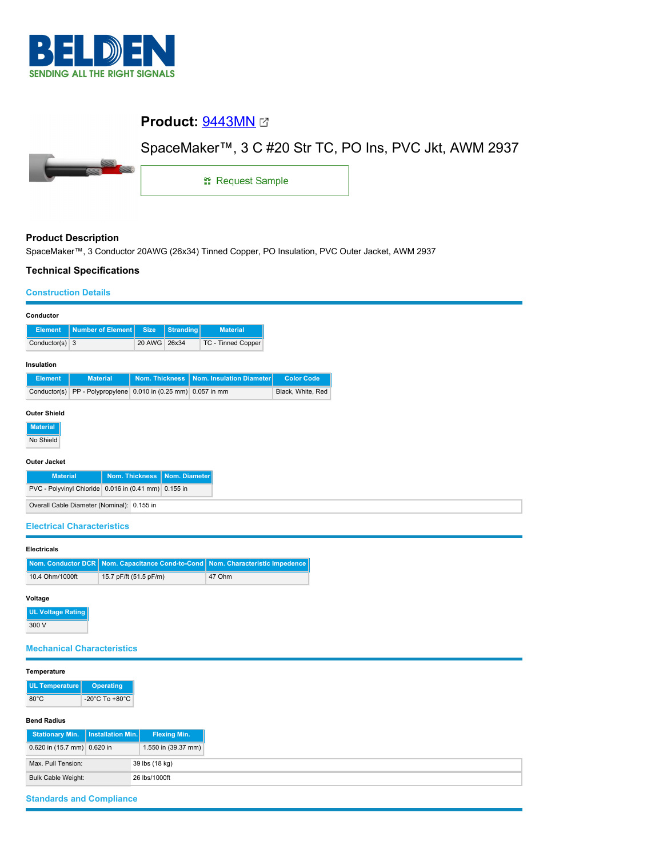

# **Product:** [9443MN](https://catalog.belden.com/index.cfm?event=pd&p=PF_9443MN&tab=downloads)

# SpaceMaker™, 3 C #20 Str TC, PO Ins, PVC Jkt, AWM 2937



1: Request Sample

# **Product Description**

SpaceMaker™, 3 Conductor 20AWG (26x34) Tinned Copper, PO Insulation, PVC Outer Jacket, AWM 2937

### **Technical Specifications**

#### **Construction Details**

| Conductor                                                                                                         |                    |                       |           |                                |                   |  |  |
|-------------------------------------------------------------------------------------------------------------------|--------------------|-----------------------|-----------|--------------------------------|-------------------|--|--|
| <b>Element</b>                                                                                                    | Number of Element  | <b>Size</b>           | Stranding | <b>Material</b>                |                   |  |  |
| Conductor(s) $3$                                                                                                  |                    | 20 AWG                | 26x34     | TC - Tinned Copper             |                   |  |  |
| Insulation                                                                                                        |                    |                       |           |                                |                   |  |  |
| <b>Element</b>                                                                                                    | <b>Material</b>    | <b>Nom. Thickness</b> |           | Nom. Insulation Diameter       | <b>Color Code</b> |  |  |
| Conductor(s)                                                                                                      | PP - Polypropylene |                       |           | 0.010 in (0.25 mm) 0.057 in mm | Black, White, Red |  |  |
| <b>Outer Shield</b><br><b>Material</b><br>No Shield<br><b>Outer Jacket</b>                                        |                    |                       |           |                                |                   |  |  |
| <b>Nom. Thickness</b><br>Nom. Diameter<br><b>Material</b><br>PVC - Polyvinyl Chloride 0.016 in (0.41 mm) 0.155 in |                    |                       |           |                                |                   |  |  |
| Overall Cable Diameter (Nominal): 0.155 in                                                                        |                    |                       |           |                                |                   |  |  |

#### **Electrical Characteristics**

#### **Electricals**

|                 | Nom. Conductor DCR   Nom. Capacitance Cond-to-Cond   Nom. Characteristic Impedence |        |
|-----------------|------------------------------------------------------------------------------------|--------|
| 10.4 Ohm/1000ft | 15.7 pF/ft (51.5 pF/m)                                                             | 47 Ohm |

#### **Voltage**

**UL Voltage Rating** 300 V

#### **Mechanical Characteristics**

#### **Temperature**

| <b>UL Temperature</b> | <b>Operating</b>                     |
|-----------------------|--------------------------------------|
| $80^{\circ}$ C        | -20 $^{\circ}$ C To +80 $^{\circ}$ C |

#### **Bend Radius**

| Stationary Min.   Installation Min.   1 |  | <b>Flexing Min.</b> |  |  |  |
|-----------------------------------------|--|---------------------|--|--|--|
| $\vert 0.620$ in (15.7 mm) 0.620 in     |  | 1.550 in (39.37 mm) |  |  |  |
| Max. Pull Tension:                      |  | 39 lbs (18 kg)      |  |  |  |
| Bulk Cable Weight:                      |  | 26 lbs/1000ft       |  |  |  |

# **Standards and Compliance**